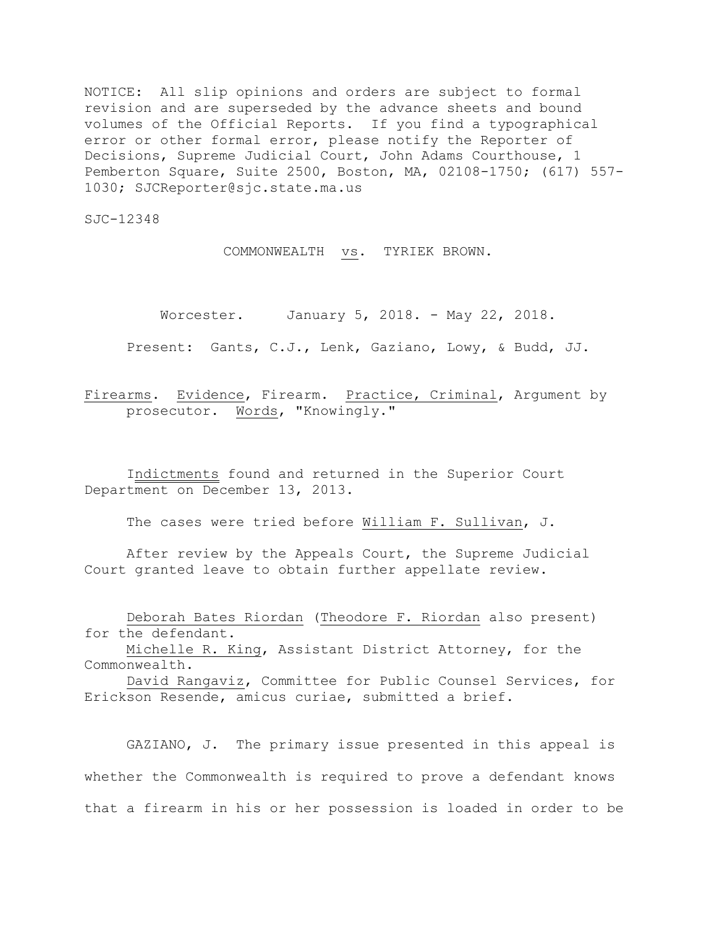NOTICE: All slip opinions and orders are subject to formal revision and are superseded by the advance sheets and bound volumes of the Official Reports. If you find a typographical error or other formal error, please notify the Reporter of Decisions, Supreme Judicial Court, John Adams Courthouse, 1 Pemberton Square, Suite 2500, Boston, MA, 02108-1750; (617) 557- 1030; SJCReporter@sjc.state.ma.us

SJC-12348

COMMONWEALTH vs. TYRIEK BROWN.

Worcester. January 5, 2018. - May 22, 2018.

Present: Gants, C.J., Lenk, Gaziano, Lowy, & Budd, JJ.

Firearms. Evidence, Firearm. Practice, Criminal, Argument by prosecutor. Words, "Knowingly."

Indictments found and returned in the Superior Court Department on December 13, 2013.

The cases were tried before William F. Sullivan, J.

After review by the Appeals Court, the Supreme Judicial Court granted leave to obtain further appellate review.

Deborah Bates Riordan (Theodore F. Riordan also present) for the defendant.

Michelle R. King, Assistant District Attorney, for the Commonwealth.

David Rangaviz, Committee for Public Counsel Services, for Erickson Resende, amicus curiae, submitted a brief.

GAZIANO, J. The primary issue presented in this appeal is whether the Commonwealth is required to prove a defendant knows that a firearm in his or her possession is loaded in order to be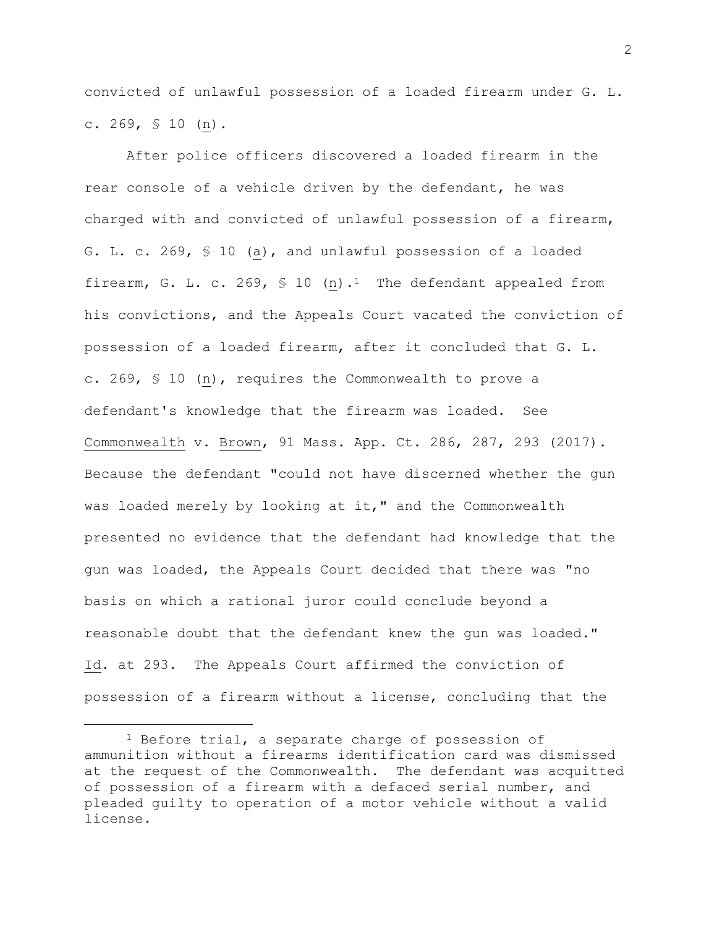convicted of unlawful possession of a loaded firearm under G. L. c. 269, § 10 (n).

After police officers discovered a loaded firearm in the rear console of a vehicle driven by the defendant, he was charged with and convicted of unlawful possession of a firearm, G. L. c. 269, § 10 (a), and unlawful possession of a loaded firearm, G. L. c. 269,  $\frac{10}{10}$  (n).<sup>1</sup> The defendant appealed from his convictions, and the Appeals Court vacated the conviction of possession of a loaded firearm, after it concluded that G. L. c. 269, § 10 (n), requires the Commonwealth to prove a defendant's knowledge that the firearm was loaded. See Commonwealth v. Brown, 91 Mass. App. Ct. 286, 287, 293 (2017). Because the defendant "could not have discerned whether the gun was loaded merely by looking at it," and the Commonwealth presented no evidence that the defendant had knowledge that the gun was loaded, the Appeals Court decided that there was "no basis on which a rational juror could conclude beyond a reasonable doubt that the defendant knew the gun was loaded." Id. at 293. The Appeals Court affirmed the conviction of possession of a firearm without a license, concluding that the

<sup>&</sup>lt;sup>1</sup> Before trial, a separate charge of possession of ammunition without a firearms identification card was dismissed at the request of the Commonwealth. The defendant was acquitted of possession of a firearm with a defaced serial number, and pleaded guilty to operation of a motor vehicle without a valid license.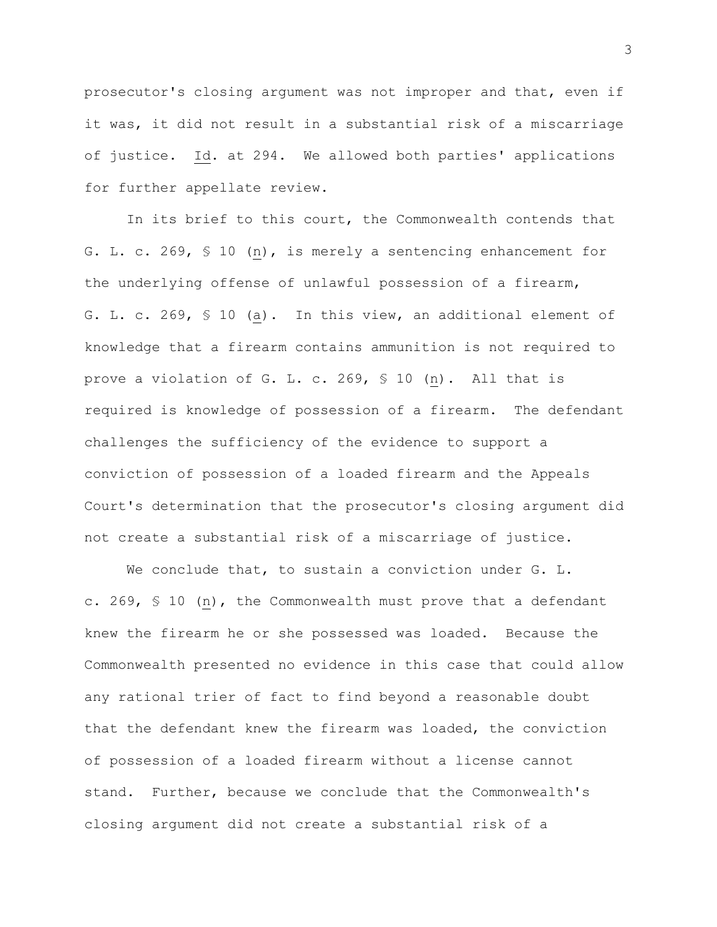prosecutor's closing argument was not improper and that, even if it was, it did not result in a substantial risk of a miscarriage of justice. Id. at 294. We allowed both parties' applications for further appellate review.

In its brief to this court, the Commonwealth contends that G. L. c. 269, § 10 (n), is merely a sentencing enhancement for the underlying offense of unlawful possession of a firearm, G. L. c. 269, § 10 (a). In this view, an additional element of knowledge that a firearm contains ammunition is not required to prove a violation of G. L. c. 269, § 10 (n). All that is required is knowledge of possession of a firearm**.** The defendant challenges the sufficiency of the evidence to support a conviction of possession of a loaded firearm and the Appeals Court's determination that the prosecutor's closing argument did not create a substantial risk of a miscarriage of justice.

We conclude that, to sustain a conviction under G. L. c. 269, § 10 (n), the Commonwealth must prove that a defendant knew the firearm he or she possessed was loaded. Because the Commonwealth presented no evidence in this case that could allow any rational trier of fact to find beyond a reasonable doubt that the defendant knew the firearm was loaded, the conviction of possession of a loaded firearm without a license cannot stand. Further, because we conclude that the Commonwealth's closing argument did not create a substantial risk of a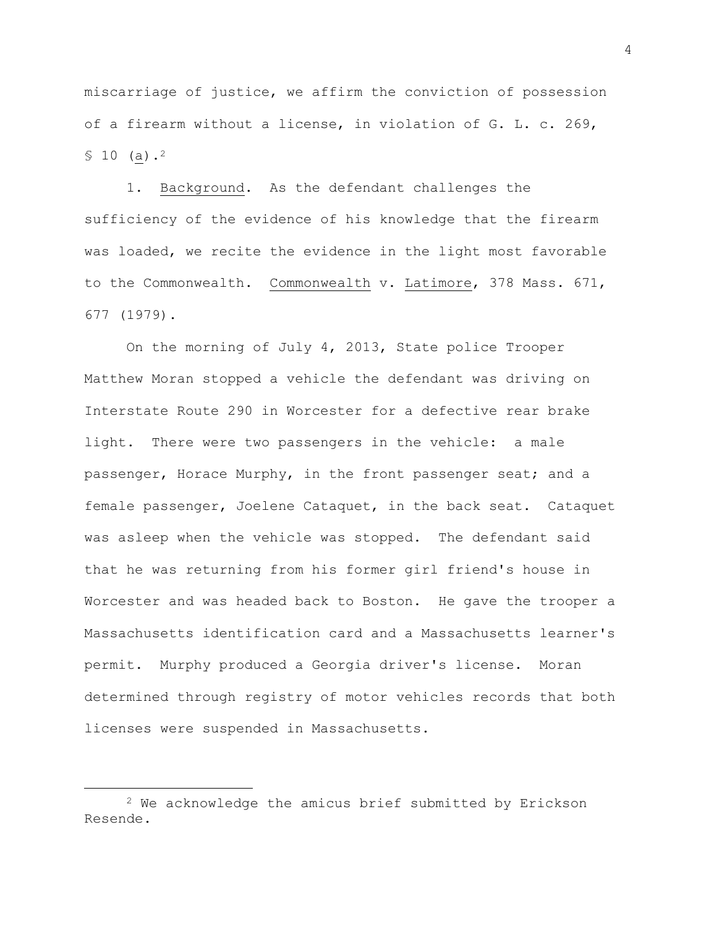miscarriage of justice, we affirm the conviction of possession of a firearm without a license, in violation of G. L. c. 269,  $$10$  (a).<sup>2</sup>

1. Background. As the defendant challenges the sufficiency of the evidence of his knowledge that the firearm was loaded, we recite the evidence in the light most favorable to the Commonwealth. Commonwealth v. Latimore, 378 Mass. 671, 677 (1979).

On the morning of July 4, 2013, State police Trooper Matthew Moran stopped a vehicle the defendant was driving on Interstate Route 290 in Worcester for a defective rear brake light. There were two passengers in the vehicle: a male passenger, Horace Murphy, in the front passenger seat; and a female passenger, Joelene Cataquet, in the back seat. Cataquet was asleep when the vehicle was stopped. The defendant said that he was returning from his former girl friend's house in Worcester and was headed back to Boston. He gave the trooper a Massachusetts identification card and a Massachusetts learner's permit. Murphy produced a Georgia driver's license. Moran determined through registry of motor vehicles records that both licenses were suspended in Massachusetts.

<sup>2</sup> We acknowledge the amicus brief submitted by Erickson Resende.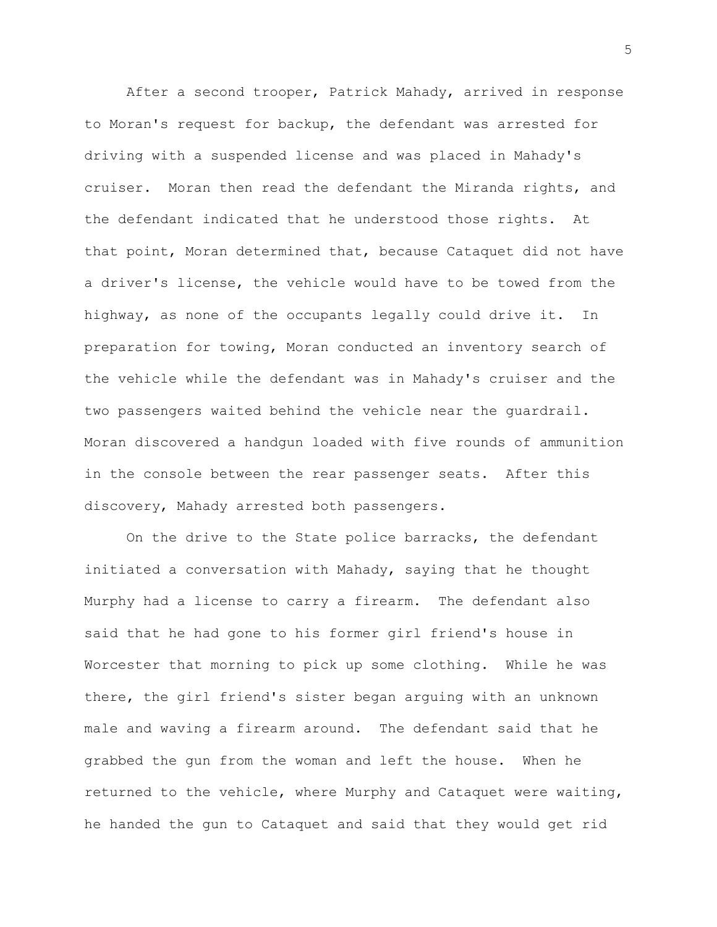After a second trooper, Patrick Mahady, arrived in response to Moran's request for backup, the defendant was arrested for driving with a suspended license and was placed in Mahady's cruiser. Moran then read the defendant the Miranda rights, and the defendant indicated that he understood those rights. At that point, Moran determined that, because Cataquet did not have a driver's license, the vehicle would have to be towed from the highway, as none of the occupants legally could drive it. In preparation for towing, Moran conducted an inventory search of the vehicle while the defendant was in Mahady's cruiser and the two passengers waited behind the vehicle near the guardrail. Moran discovered a handgun loaded with five rounds of ammunition in the console between the rear passenger seats. After this discovery, Mahady arrested both passengers.

On the drive to the State police barracks, the defendant initiated a conversation with Mahady, saying that he thought Murphy had a license to carry a firearm. The defendant also said that he had gone to his former girl friend's house in Worcester that morning to pick up some clothing. While he was there, the girl friend's sister began arguing with an unknown male and waving a firearm around. The defendant said that he grabbed the gun from the woman and left the house. When he returned to the vehicle, where Murphy and Cataquet were waiting, he handed the gun to Cataquet and said that they would get rid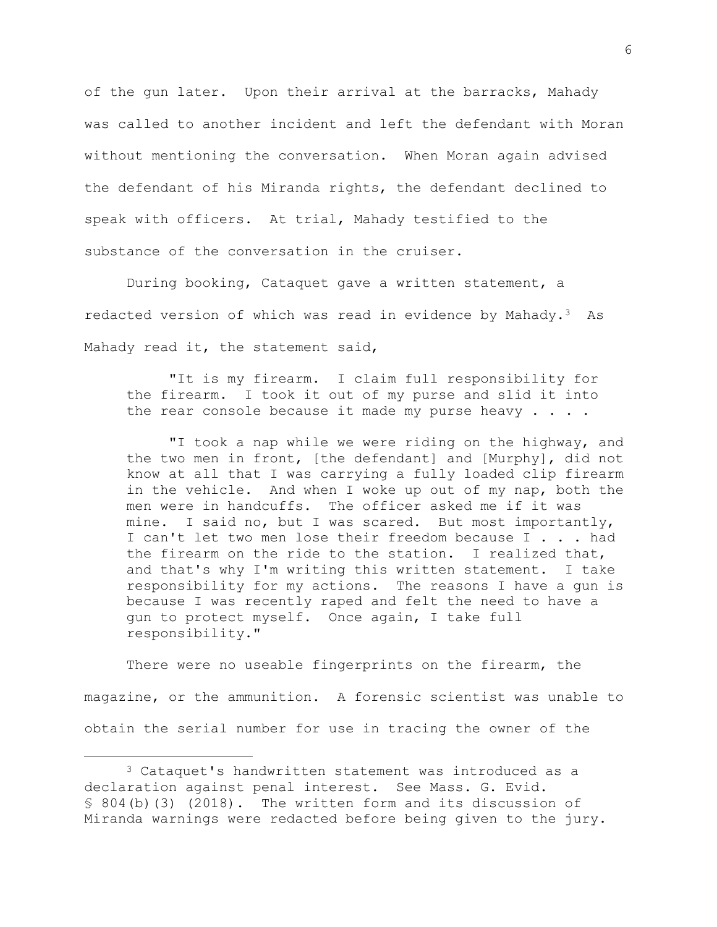of the gun later. Upon their arrival at the barracks, Mahady was called to another incident and left the defendant with Moran without mentioning the conversation. When Moran again advised the defendant of his Miranda rights, the defendant declined to speak with officers. At trial, Mahady testified to the substance of the conversation in the cruiser.

During booking, Cataquet gave a written statement, a redacted version of which was read in evidence by Mahady. $3$  As Mahady read it, the statement said,

"It is my firearm. I claim full responsibility for the firearm. I took it out of my purse and slid it into the rear console because it made my purse heavy  $\ldots$ .

"I took a nap while we were riding on the highway, and the two men in front, [the defendant] and [Murphy], did not know at all that I was carrying a fully loaded clip firearm in the vehicle. And when I woke up out of my nap, both the men were in handcuffs. The officer asked me if it was mine. I said no, but I was scared. But most importantly, I can't let two men lose their freedom because I . . . had the firearm on the ride to the station. I realized that, and that's why I'm writing this written statement. I take responsibility for my actions. The reasons I have a gun is because I was recently raped and felt the need to have a gun to protect myself. Once again, I take full responsibility."

There were no useable fingerprints on the firearm, the magazine, or the ammunition. A forensic scientist was unable to obtain the serial number for use in tracing the owner of the

<sup>3</sup> Cataquet's handwritten statement was introduced as a declaration against penal interest. See Mass. G. Evid. § 804(b)(3) (2018). The written form and its discussion of Miranda warnings were redacted before being given to the jury.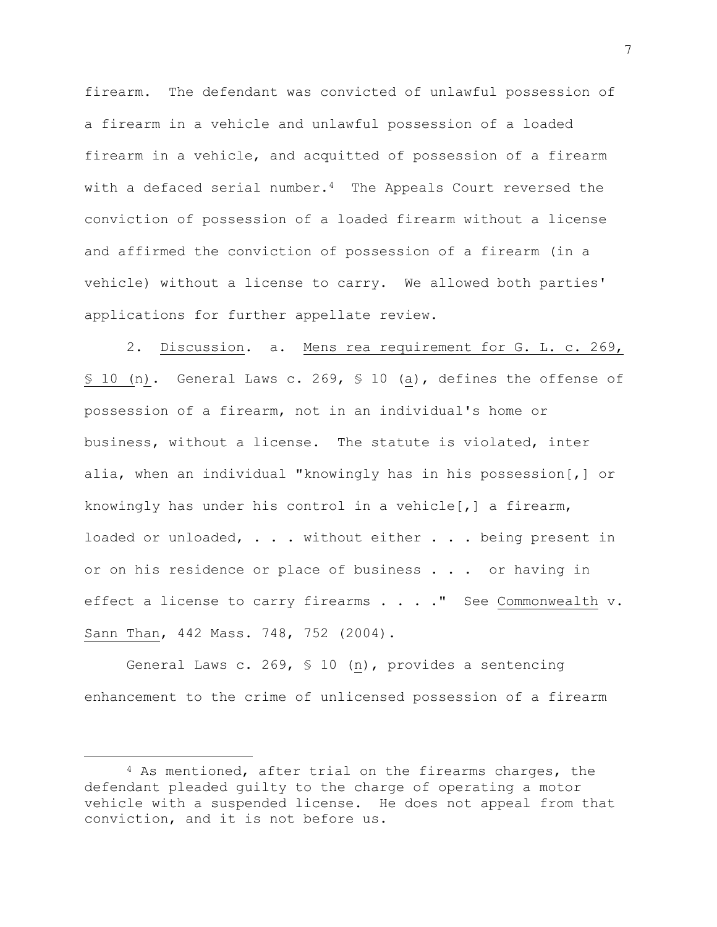firearm. The defendant was convicted of unlawful possession of a firearm in a vehicle and unlawful possession of a loaded firearm in a vehicle, and acquitted of possession of a firearm with a defaced serial number.<sup>4</sup> The Appeals Court reversed the conviction of possession of a loaded firearm without a license and affirmed the conviction of possession of a firearm (in a vehicle) without a license to carry. We allowed both parties' applications for further appellate review.

2. Discussion. a. Mens rea requirement for G. L. c. 269, § 10 (n). General Laws c. 269, § 10 (a), defines the offense of possession of a firearm, not in an individual's home or business, without a license. The statute is violated, inter alia, when an individual "knowingly has in his possession[,] or knowingly has under his control in a vehicle[,] a firearm, loaded or unloaded, . . . without either . . . being present in or on his residence or place of business . . . or having in effect a license to carry firearms . . . . " See Commonwealth v. Sann Than, 442 Mass. 748, 752 (2004).

General Laws c. 269, § 10 (n), provides a sentencing enhancement to the crime of unlicensed possession of a firearm

<sup>4</sup> As mentioned, after trial on the firearms charges, the defendant pleaded guilty to the charge of operating a motor vehicle with a suspended license. He does not appeal from that conviction, and it is not before us.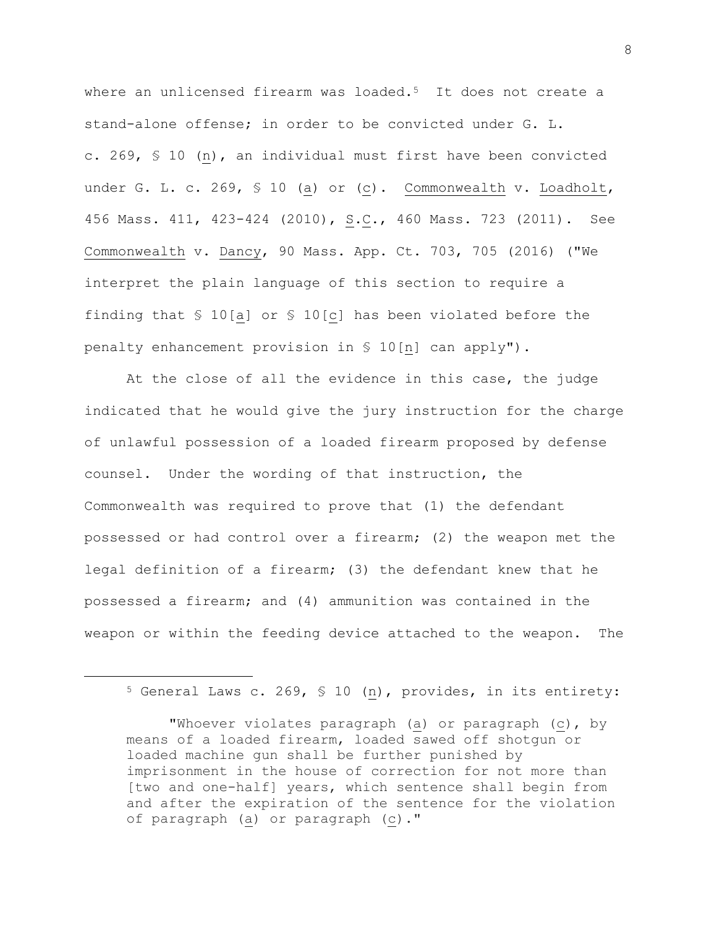where an unlicensed firearm was loaded.<sup>5</sup> It does not create a stand-alone offense; in order to be convicted under G. L. c. 269, § 10 (n), an individual must first have been convicted under G. L. c. 269, § 10 (a) or (c). Commonwealth v. Loadholt, 456 Mass. 411, 423-424 (2010), S.C., 460 Mass. 723 (2011). See Commonwealth v. Dancy, 90 Mass. App. Ct. 703, 705 (2016) ("We interpret the plain language of this section to require a finding that § 10[a] or § 10[c] has been violated before the penalty enhancement provision in § 10[n] can apply").

At the close of all the evidence in this case, the judge indicated that he would give the jury instruction for the charge of unlawful possession of a loaded firearm proposed by defense counsel. Under the wording of that instruction, the Commonwealth was required to prove that (1) the defendant possessed or had control over a firearm; (2) the weapon met the legal definition of a firearm; (3) the defendant knew that he possessed a firearm; and (4) ammunition was contained in the weapon or within the feeding device attached to the weapon. The

<sup>5</sup> General Laws c. 269, § 10 (n), provides, in its entirety:

<sup>&</sup>quot;Whoever violates paragraph (a) or paragraph (c), by means of a loaded firearm, loaded sawed off shotgun or loaded machine gun shall be further punished by imprisonment in the house of correction for not more than [two and one-half] years, which sentence shall begin from and after the expiration of the sentence for the violation of paragraph (a) or paragraph (c)."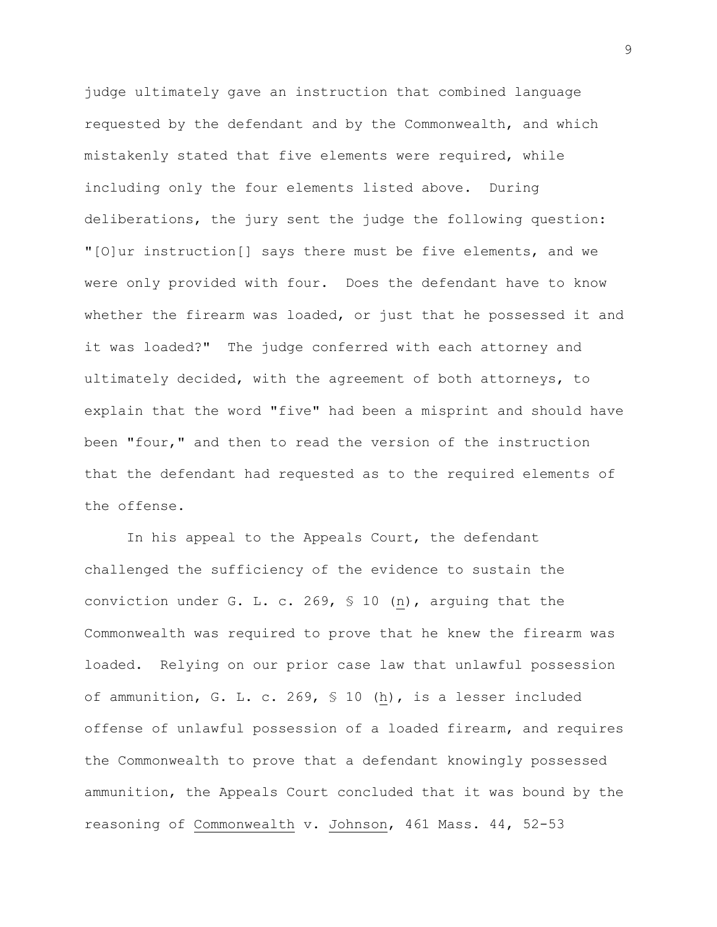judge ultimately gave an instruction that combined language requested by the defendant and by the Commonwealth, and which mistakenly stated that five elements were required, while including only the four elements listed above. During deliberations, the jury sent the judge the following question: "[O]ur instruction[] says there must be five elements, and we were only provided with four. Does the defendant have to know whether the firearm was loaded, or just that he possessed it and it was loaded?" The judge conferred with each attorney and ultimately decided, with the agreement of both attorneys, to explain that the word "five" had been a misprint and should have been "four," and then to read the version of the instruction that the defendant had requested as to the required elements of the offense.

In his appeal to the Appeals Court, the defendant challenged the sufficiency of the evidence to sustain the conviction under G. L. c. 269, § 10 (n), arguing that the Commonwealth was required to prove that he knew the firearm was loaded. Relying on our prior case law that unlawful possession of ammunition, G. L. c. 269, § 10 (h), is a lesser included offense of unlawful possession of a loaded firearm, and requires the Commonwealth to prove that a defendant knowingly possessed ammunition, the Appeals Court concluded that it was bound by the reasoning of Commonwealth v. Johnson, 461 Mass. 44, 52-53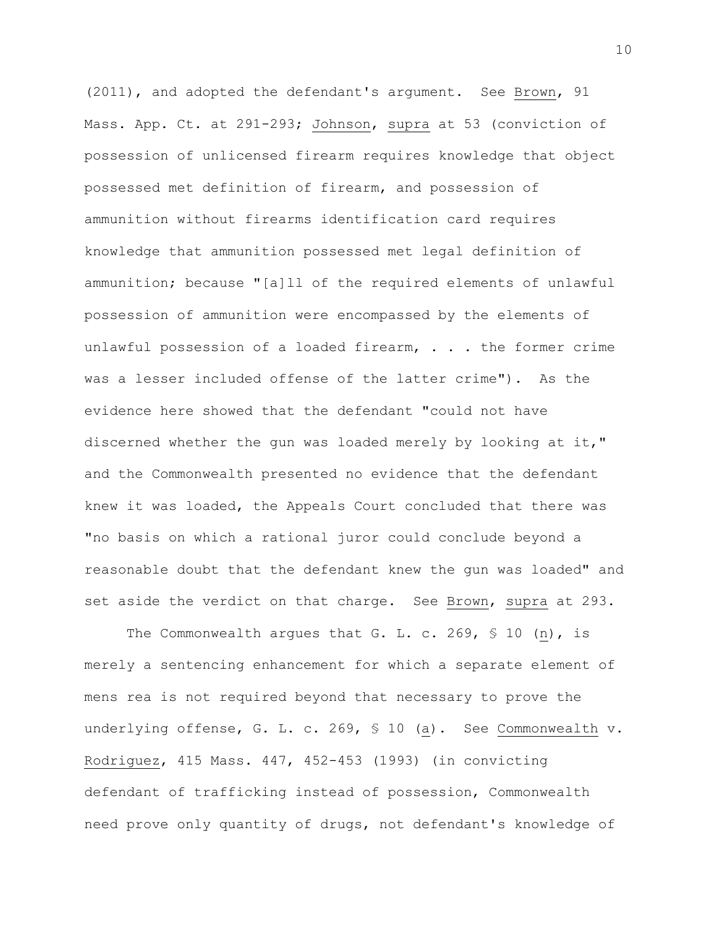(2011), and adopted the defendant's argument. See Brown, 91 Mass. App. Ct. at 291-293; Johnson, supra at 53 (conviction of possession of unlicensed firearm requires knowledge that object possessed met definition of firearm, and possession of ammunition without firearms identification card requires knowledge that ammunition possessed met legal definition of ammunition; because "[a]ll of the required elements of unlawful possession of ammunition were encompassed by the elements of unlawful possession of a loaded firearm, . . . the former crime was a lesser included offense of the latter crime"). As the evidence here showed that the defendant "could not have discerned whether the gun was loaded merely by looking at it," and the Commonwealth presented no evidence that the defendant knew it was loaded, the Appeals Court concluded that there was "no basis on which a rational juror could conclude beyond a reasonable doubt that the defendant knew the gun was loaded" and set aside the verdict on that charge. See Brown, supra at 293.

The Commonwealth argues that G. L. c. 269,  $\frac{1}{5}$  10 (n), is merely a sentencing enhancement for which a separate element of mens rea is not required beyond that necessary to prove the underlying offense, G. L. c. 269, § 10 (a). See Commonwealth v. Rodriguez, 415 Mass. 447, 452-453 (1993) (in convicting defendant of trafficking instead of possession, Commonwealth need prove only quantity of drugs, not defendant's knowledge of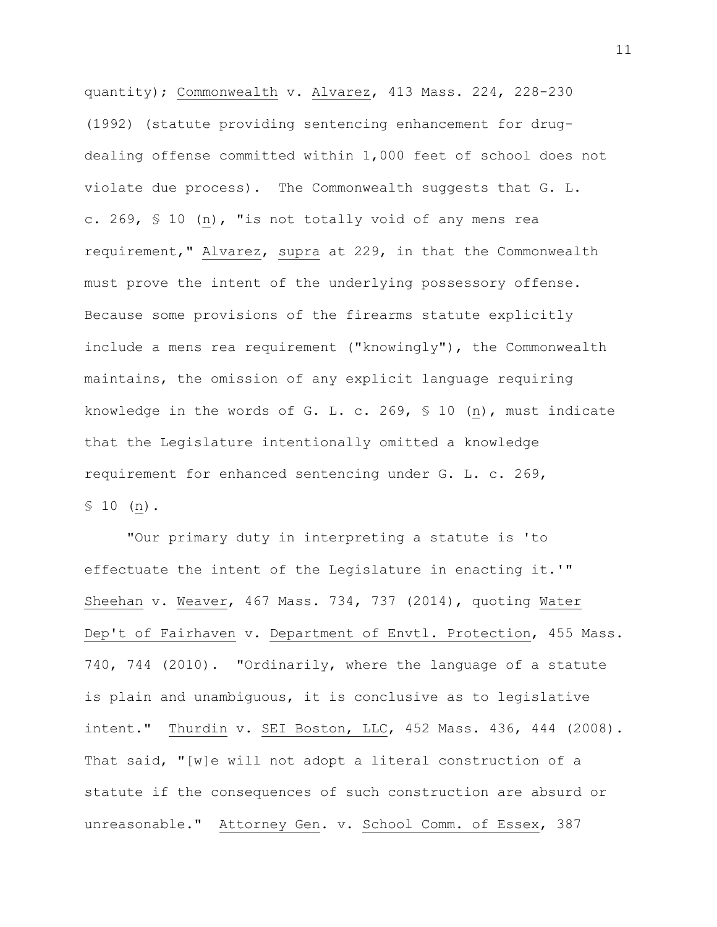quantity); Commonwealth v. Alvarez, 413 Mass. 224, 228-230 (1992) (statute providing sentencing enhancement for drugdealing offense committed within 1,000 feet of school does not violate due process). The Commonwealth suggests that G. L. c. 269, § 10 (n), "is not totally void of any mens rea requirement," Alvarez, supra at 229, in that the Commonwealth must prove the intent of the underlying possessory offense. Because some provisions of the firearms statute explicitly include a mens rea requirement ("knowingly"), the Commonwealth maintains, the omission of any explicit language requiring knowledge in the words of G. L. c. 269, § 10 (n), must indicate that the Legislature intentionally omitted a knowledge requirement for enhanced sentencing under G. L. c. 269, § 10 (n).

"Our primary duty in interpreting a statute is 'to effectuate the intent of the Legislature in enacting it.'" Sheehan v. Weaver, 467 Mass. 734, 737 (2014), quoting Water Dep't of Fairhaven v. Department of Envtl. Protection, 455 Mass. 740, 744 (2010). "Ordinarily, where the language of a statute is plain and unambiguous, it is conclusive as to legislative intent." Thurdin v. SEI Boston, LLC, 452 Mass. 436, 444 (2008). That said, "[w]e will not adopt a literal construction of a statute if the consequences of such construction are absurd or unreasonable." Attorney Gen. v. School Comm. of Essex, 387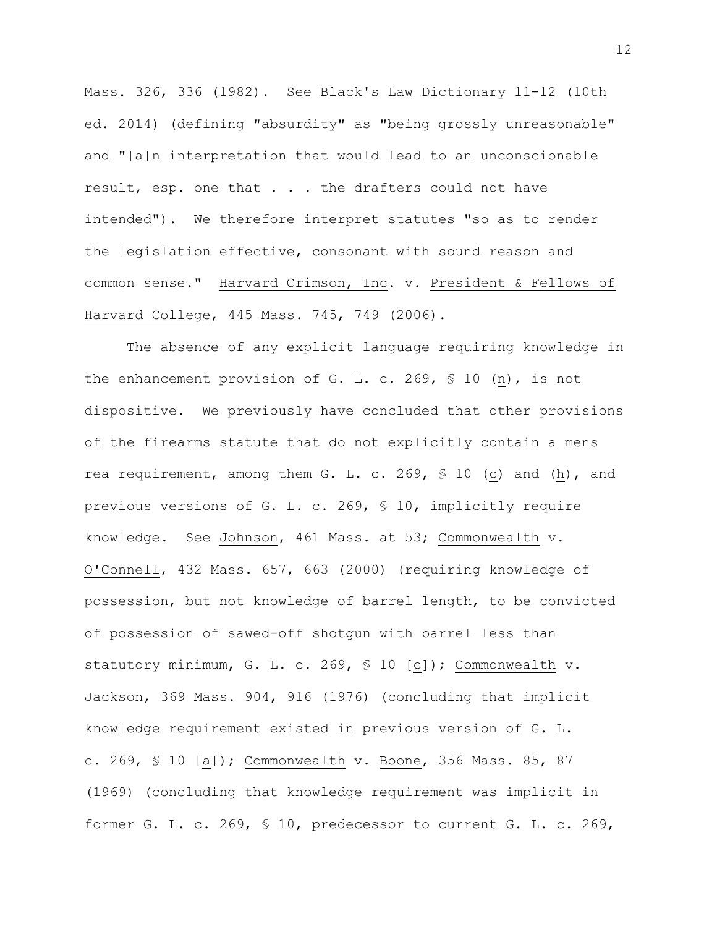Mass. 326, 336 (1982). See Black's Law Dictionary 11-12 (10th ed. 2014) (defining "absurdity" as "being grossly unreasonable" and "[a]n interpretation that would lead to an unconscionable result, esp. one that . . . the drafters could not have intended"). We therefore interpret statutes "so as to render the legislation effective, consonant with sound reason and common sense." Harvard Crimson, Inc. v. President & Fellows of Harvard College, 445 Mass. 745, 749 (2006).

The absence of any explicit language requiring knowledge in the enhancement provision of G. L. c. 269, § 10 (n), is not dispositive. We previously have concluded that other provisions of the firearms statute that do not explicitly contain a mens rea requirement, among them G. L. c. 269, § 10 (c) and (h), and previous versions of G. L. c. 269, § 10, implicitly require knowledge. See Johnson, 461 Mass. at 53; Commonwealth v. O'Connell, 432 Mass. 657, 663 (2000) (requiring knowledge of possession, but not knowledge of barrel length, to be convicted of possession of sawed-off shotgun with barrel less than statutory minimum, G. L. c. 269, § 10 [c]); Commonwealth v. Jackson, 369 Mass. 904, 916 (1976) (concluding that implicit knowledge requirement existed in previous version of G. L. c. 269, § 10 [a]); Commonwealth v. Boone, 356 Mass. 85, 87 (1969) (concluding that knowledge requirement was implicit in former G. L. c. 269, § 10, predecessor to current G. L. c. 269,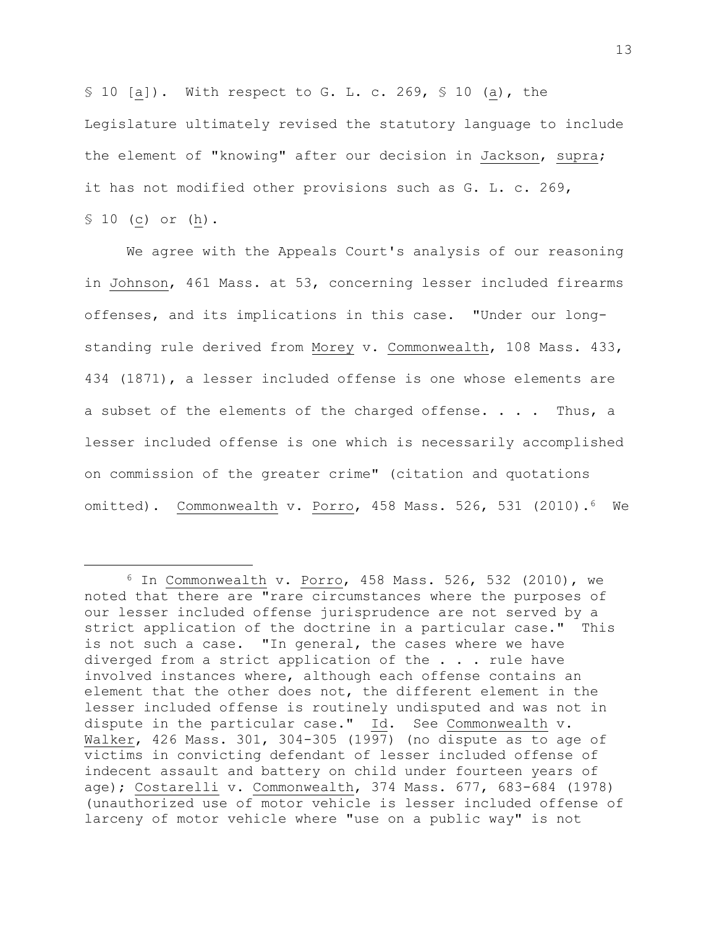§ 10 [a]). With respect to G. L. c. 269, § 10 (a), the Legislature ultimately revised the statutory language to include the element of "knowing" after our decision in Jackson, supra; it has not modified other provisions such as G. L. c. 269, § 10 (c) or (h).

We agree with the Appeals Court's analysis of our reasoning in Johnson, 461 Mass. at 53, concerning lesser included firearms offenses, and its implications in this case. "Under our longstanding rule derived from Morey v. Commonwealth, 108 Mass. 433, 434 (1871), a lesser included offense is one whose elements are a subset of the elements of the charged offense. . . . Thus, a lesser included offense is one which is necessarily accomplished on commission of the greater crime" (citation and quotations omitted). Commonwealth v. Porro, 458 Mass. 526, 531 (2010).<sup>6</sup> We

 $6$  In Commonwealth v. Porro, 458 Mass. 526, 532 (2010), we noted that there are "rare circumstances where the purposes of our lesser included offense jurisprudence are not served by a strict application of the doctrine in a particular case." This is not such a case. "In general, the cases where we have diverged from a strict application of the . . . rule have involved instances where, although each offense contains an element that the other does not, the different element in the lesser included offense is routinely undisputed and was not in dispute in the particular case." Id. See Commonwealth v. Walker, 426 Mass. 301, 304-305 (1997) (no dispute as to age of victims in convicting defendant of lesser included offense of indecent assault and battery on child under fourteen years of age); Costarelli v. Commonwealth, 374 Mass. 677, 683-684 (1978) (unauthorized use of motor vehicle is lesser included offense of larceny of motor vehicle where "use on a public way" is not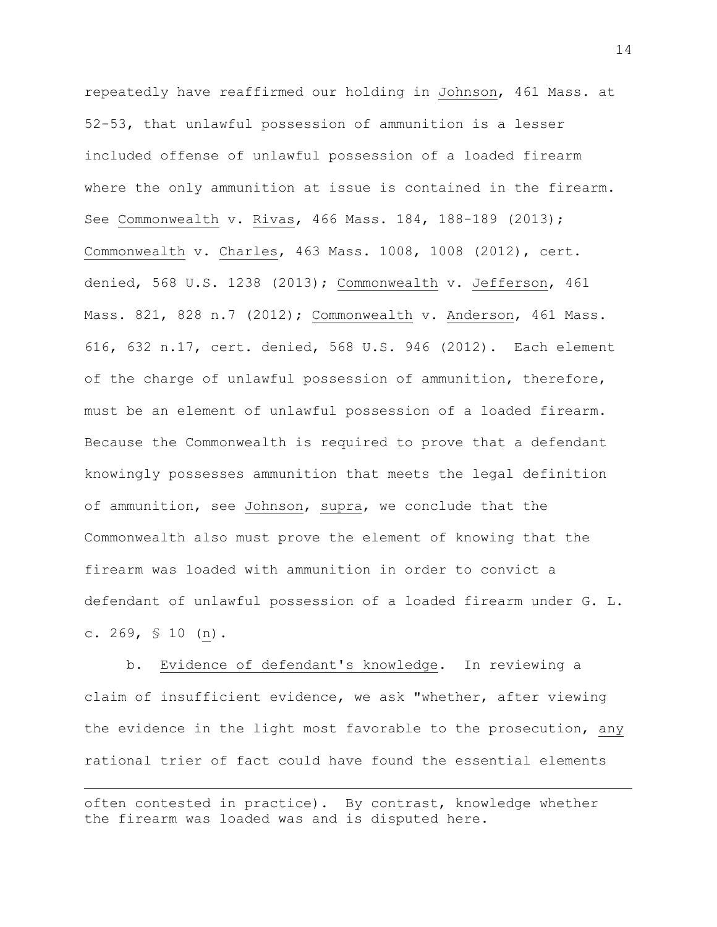repeatedly have reaffirmed our holding in Johnson, 461 Mass. at 52-53, that unlawful possession of ammunition is a lesser included offense of unlawful possession of a loaded firearm where the only ammunition at issue is contained in the firearm. See Commonwealth v. Rivas, 466 Mass. 184, 188-189 (2013); Commonwealth v. Charles, 463 Mass. 1008, 1008 (2012), cert. denied, 568 U.S. 1238 (2013); Commonwealth v. Jefferson, 461 Mass. 821, 828 n.7 (2012); Commonwealth v. Anderson, 461 Mass. 616, 632 n.17, cert. denied, 568 U.S. 946 (2012). Each element of the charge of unlawful possession of ammunition, therefore, must be an element of unlawful possession of a loaded firearm. Because the Commonwealth is required to prove that a defendant knowingly possesses ammunition that meets the legal definition of ammunition, see Johnson, supra, we conclude that the Commonwealth also must prove the element of knowing that the firearm was loaded with ammunition in order to convict a defendant of unlawful possession of a loaded firearm under G. L. c. 269, § 10 (n).

b. Evidence of defendant's knowledge. In reviewing a claim of insufficient evidence, we ask "whether, after viewing the evidence in the light most favorable to the prosecution, any rational trier of fact could have found the essential elements

often contested in practice). By contrast, knowledge whether the firearm was loaded was and is disputed here.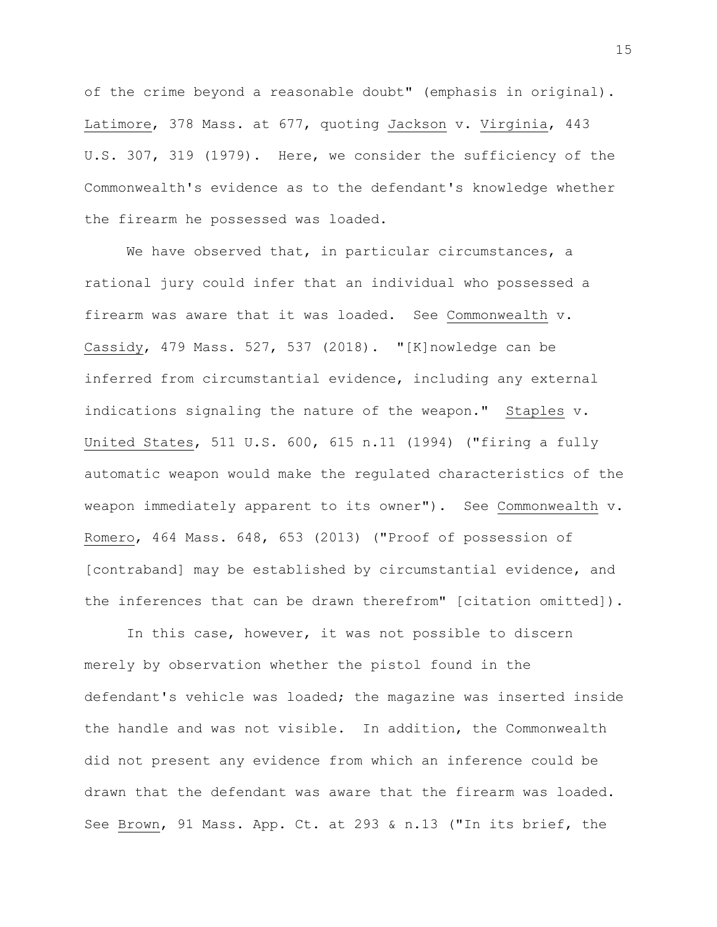of the crime beyond a reasonable doubt" (emphasis in original). Latimore, 378 Mass. at 677, quoting Jackson v. Virginia, 443 U.S. 307, 319 (1979). Here, we consider the sufficiency of the Commonwealth's evidence as to the defendant's knowledge whether the firearm he possessed was loaded.

We have observed that, in particular circumstances, a rational jury could infer that an individual who possessed a firearm was aware that it was loaded. See Commonwealth v. Cassidy, 479 Mass. 527, 537 (2018). "[K]nowledge can be inferred from circumstantial evidence, including any external indications signaling the nature of the weapon." Staples v. United States, 511 U.S. 600, 615 n.11 (1994) ("firing a fully automatic weapon would make the regulated characteristics of the weapon immediately apparent to its owner"). See Commonwealth v. Romero, 464 Mass. 648, 653 (2013) ("Proof of possession of [contraband] may be established by circumstantial evidence, and the inferences that can be drawn therefrom" [citation omitted]).

In this case, however, it was not possible to discern merely by observation whether the pistol found in the defendant's vehicle was loaded; the magazine was inserted inside the handle and was not visible. In addition, the Commonwealth did not present any evidence from which an inference could be drawn that the defendant was aware that the firearm was loaded. See Brown, 91 Mass. App. Ct. at 293 & n.13 ("In its brief, the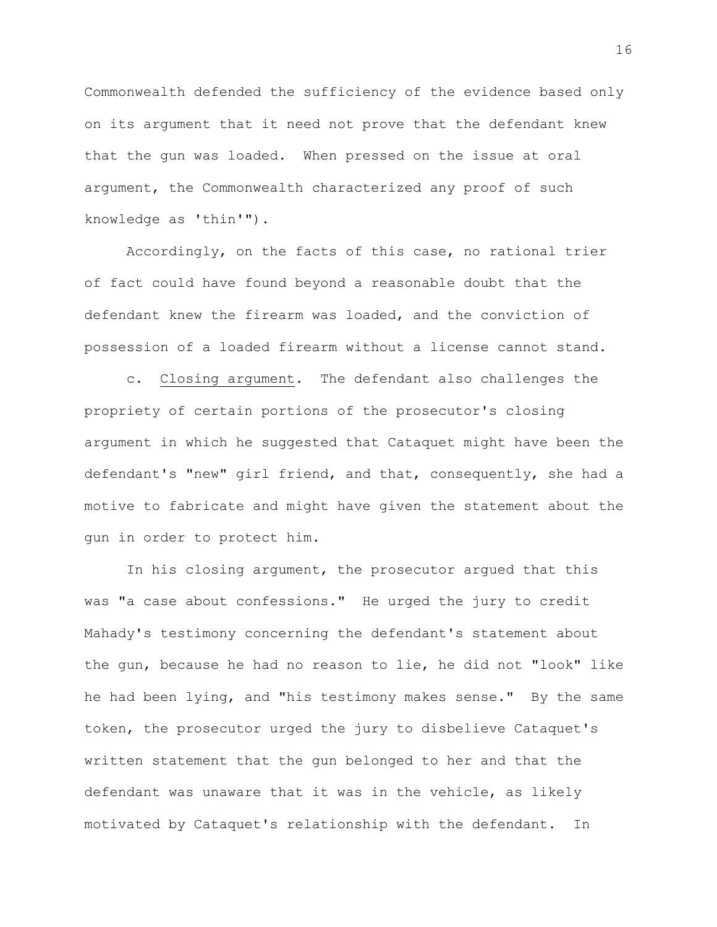Commonwealth defended the sufficiency of the evidence based only on its argument that it need not prove that the defendant knew that the gun was loaded. When pressed on the issue at oral argument, the Commonwealth characterized any proof of such knowledge as 'thin'").

Accordingly, on the facts of this case, no rational trier of fact could have found beyond a reasonable doubt that the defendant knew the firearm was loaded, and the conviction of possession of a loaded firearm without a license cannot stand.

c. Closing argument. The defendant also challenges the propriety of certain portions of the prosecutor's closing argument in which he suggested that Cataquet might have been the defendant's "new" girl friend, and that, consequently, she had a motive to fabricate and might have given the statement about the gun in order to protect him.

In his closing argument, the prosecutor argued that this was "a case about confessions." He urged the jury to credit Mahady's testimony concerning the defendant's statement about the gun, because he had no reason to lie, he did not "look" like he had been lying, and "his testimony makes sense." By the same token, the prosecutor urged the jury to disbelieve Cataquet's written statement that the gun belonged to her and that the defendant was unaware that it was in the vehicle, as likely motivated by Cataquet's relationship with the defendant. In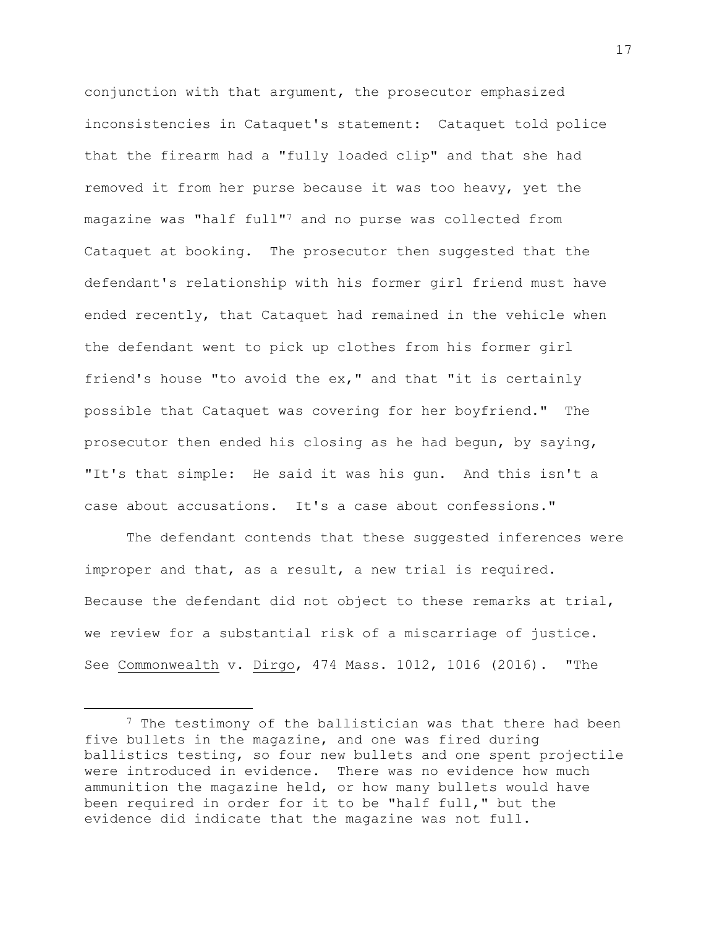conjunction with that argument, the prosecutor emphasized inconsistencies in Cataquet's statement: Cataquet told police that the firearm had a "fully loaded clip" and that she had removed it from her purse because it was too heavy, yet the magazine was "half full"<sup>7</sup> and no purse was collected from Cataquet at booking. The prosecutor then suggested that the defendant's relationship with his former girl friend must have ended recently, that Cataquet had remained in the vehicle when the defendant went to pick up clothes from his former girl friend's house "to avoid the ex," and that "it is certainly possible that Cataquet was covering for her boyfriend." The prosecutor then ended his closing as he had begun, by saying, "It's that simple: He said it was his gun. And this isn't a case about accusations. It's a case about confessions."

The defendant contends that these suggested inferences were improper and that, as a result, a new trial is required. Because the defendant did not object to these remarks at trial, we review for a substantial risk of a miscarriage of justice. See Commonwealth v. Dirgo, 474 Mass. 1012, 1016 (2016). "The

<sup>&</sup>lt;sup>7</sup> The testimony of the ballistician was that there had been five bullets in the magazine, and one was fired during ballistics testing, so four new bullets and one spent projectile were introduced in evidence. There was no evidence how much ammunition the magazine held, or how many bullets would have been required in order for it to be "half full," but the evidence did indicate that the magazine was not full.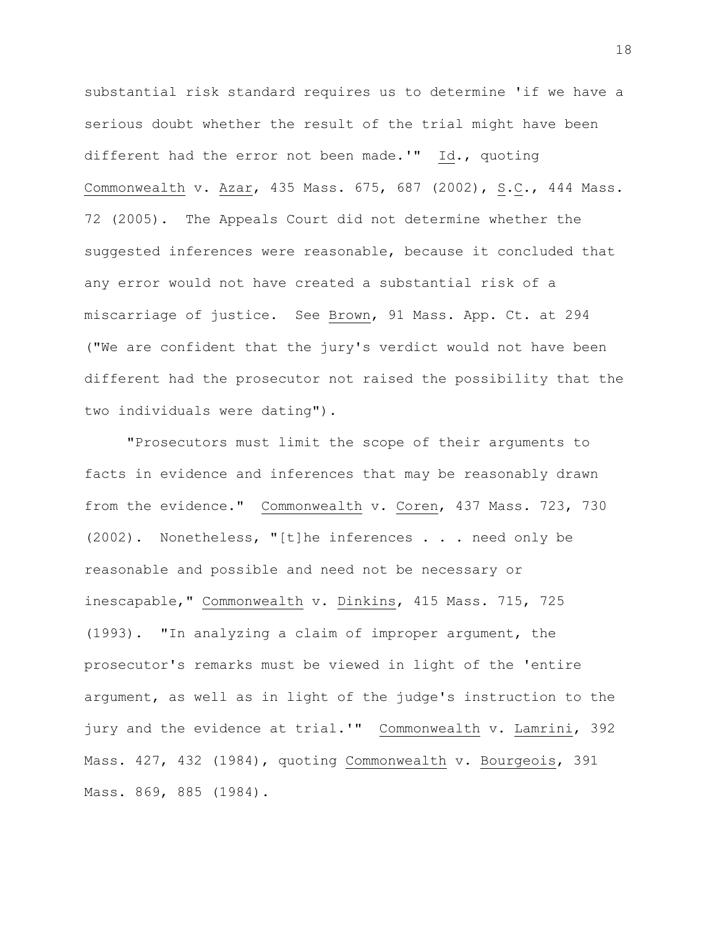substantial risk standard requires us to determine 'if we have a serious doubt whether the result of the trial might have been different had the error not been made.'" Id., quoting Commonwealth v. Azar, 435 Mass. 675, 687 (2002), S.C., 444 Mass. 72 (2005). The Appeals Court did not determine whether the suggested inferences were reasonable, because it concluded that any error would not have created a substantial risk of a miscarriage of justice. See Brown, 91 Mass. App. Ct. at 294 ("We are confident that the jury's verdict would not have been different had the prosecutor not raised the possibility that the two individuals were dating").

"Prosecutors must limit the scope of their arguments to facts in evidence and inferences that may be reasonably drawn from the evidence." Commonwealth v. Coren, 437 Mass. 723, 730 (2002). Nonetheless, "[t]he inferences . . . need only be reasonable and possible and need not be necessary or inescapable," Commonwealth v. Dinkins, 415 Mass. 715, 725 (1993). "In analyzing a claim of improper argument, the prosecutor's remarks must be viewed in light of the 'entire argument, as well as in light of the judge's instruction to the jury and the evidence at trial.'" Commonwealth v. Lamrini, 392 Mass. 427, 432 (1984), quoting Commonwealth v. Bourgeois, 391 Mass. 869, 885 (1984).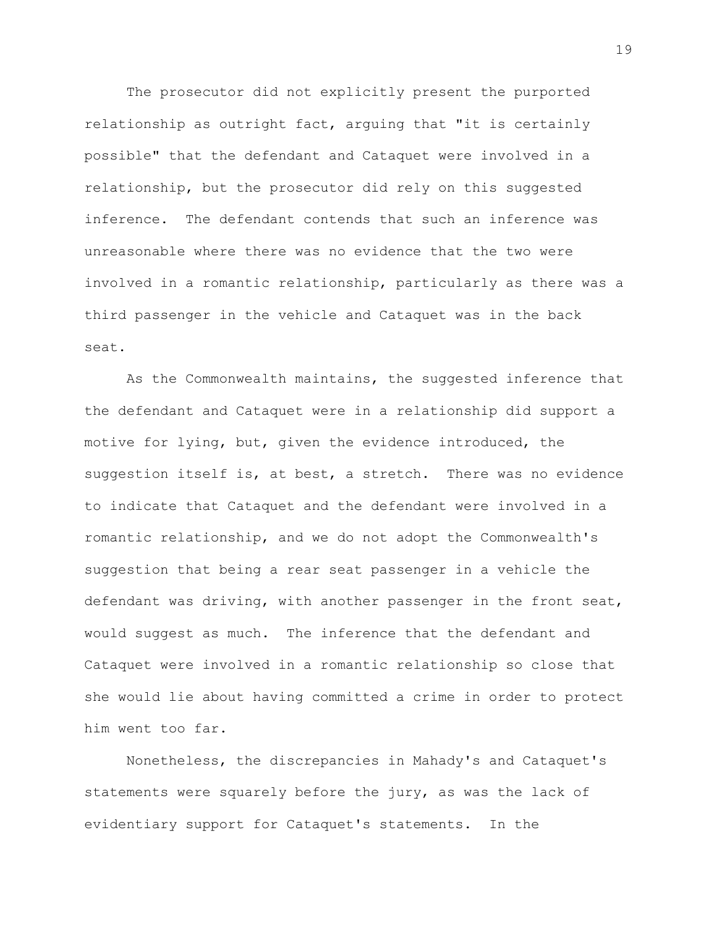The prosecutor did not explicitly present the purported relationship as outright fact, arguing that "it is certainly possible" that the defendant and Cataquet were involved in a relationship, but the prosecutor did rely on this suggested inference. The defendant contends that such an inference was unreasonable where there was no evidence that the two were involved in a romantic relationship, particularly as there was a third passenger in the vehicle and Cataquet was in the back seat.

As the Commonwealth maintains, the suggested inference that the defendant and Cataquet were in a relationship did support a motive for lying, but, given the evidence introduced, the suggestion itself is, at best, a stretch. There was no evidence to indicate that Cataquet and the defendant were involved in a romantic relationship, and we do not adopt the Commonwealth's suggestion that being a rear seat passenger in a vehicle the defendant was driving, with another passenger in the front seat, would suggest as much. The inference that the defendant and Cataquet were involved in a romantic relationship so close that she would lie about having committed a crime in order to protect him went too far.

Nonetheless, the discrepancies in Mahady's and Cataquet's statements were squarely before the jury, as was the lack of evidentiary support for Cataquet's statements. In the

19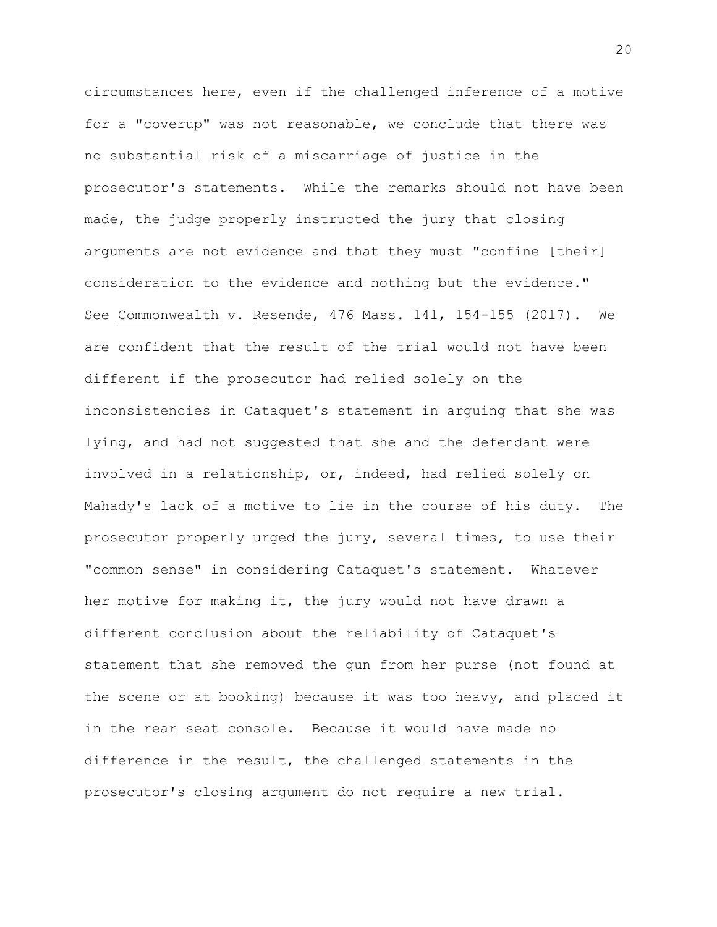circumstances here, even if the challenged inference of a motive for a "coverup" was not reasonable, we conclude that there was no substantial risk of a miscarriage of justice in the prosecutor's statements. While the remarks should not have been made, the judge properly instructed the jury that closing arguments are not evidence and that they must "confine [their] consideration to the evidence and nothing but the evidence." See Commonwealth v. Resende, 476 Mass. 141, 154-155 (2017). We are confident that the result of the trial would not have been different if the prosecutor had relied solely on the inconsistencies in Cataquet's statement in arguing that she was lying, and had not suggested that she and the defendant were involved in a relationship, or, indeed, had relied solely on Mahady's lack of a motive to lie in the course of his duty. The prosecutor properly urged the jury, several times, to use their "common sense" in considering Cataquet's statement. Whatever her motive for making it, the jury would not have drawn a different conclusion about the reliability of Cataquet's statement that she removed the gun from her purse (not found at the scene or at booking) because it was too heavy, and placed it in the rear seat console. Because it would have made no difference in the result, the challenged statements in the prosecutor's closing argument do not require a new trial.